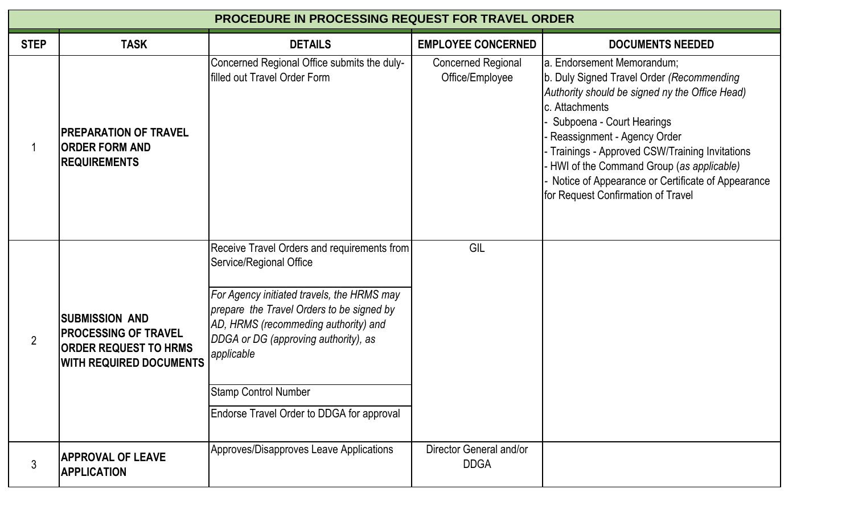| <b>PROCEDURE IN PROCESSING REQUEST FOR TRAVEL ORDER</b> |                                                                                                                        |                                                                                                                                                                                                                                                                                                                                             |                                              |                                                                                                                                                                                                                                                                                                                                                                                                 |  |  |  |
|---------------------------------------------------------|------------------------------------------------------------------------------------------------------------------------|---------------------------------------------------------------------------------------------------------------------------------------------------------------------------------------------------------------------------------------------------------------------------------------------------------------------------------------------|----------------------------------------------|-------------------------------------------------------------------------------------------------------------------------------------------------------------------------------------------------------------------------------------------------------------------------------------------------------------------------------------------------------------------------------------------------|--|--|--|
| <b>STEP</b>                                             | <b>TASK</b>                                                                                                            | <b>DETAILS</b>                                                                                                                                                                                                                                                                                                                              | <b>EMPLOYEE CONCERNED</b>                    | <b>DOCUMENTS NEEDED</b>                                                                                                                                                                                                                                                                                                                                                                         |  |  |  |
|                                                         | <b>IPREPARATION OF TRAVEL</b><br><b>ORDER FORM AND</b><br><b>REQUIREMENTS</b>                                          | Concerned Regional Office submits the duly-<br>filled out Travel Order Form                                                                                                                                                                                                                                                                 | <b>Concerned Regional</b><br>Office/Employee | a. Endorsement Memorandum;<br>b. Duly Signed Travel Order (Recommending<br>Authority should be signed ny the Office Head)<br>c. Attachments<br>Subpoena - Court Hearings<br>Reassignment - Agency Order<br>Trainings - Approved CSW/Training Invitations<br>HWI of the Command Group (as applicable)<br>Notice of Appearance or Certificate of Appearance<br>for Request Confirmation of Travel |  |  |  |
| $\overline{2}$                                          | <b>SUBMISSION AND</b><br><b>PROCESSING OF TRAVEL</b><br><b>ORDER REQUEST TO HRMS</b><br><b>WITH REQUIRED DOCUMENTS</b> | Receive Travel Orders and requirements from<br>Service/Regional Office<br>For Agency initiated travels, the HRMS may<br>prepare the Travel Orders to be signed by<br>AD, HRMS (recommeding authority) and<br>DDGA or DG (approving authority), as<br>applicable<br><b>Stamp Control Number</b><br>Endorse Travel Order to DDGA for approval | GIL                                          |                                                                                                                                                                                                                                                                                                                                                                                                 |  |  |  |
| 3                                                       | <b>APPROVAL OF LEAVE</b><br><b>APPLICATION</b>                                                                         | Approves/Disapproves Leave Applications                                                                                                                                                                                                                                                                                                     | Director General and/or<br><b>DDGA</b>       |                                                                                                                                                                                                                                                                                                                                                                                                 |  |  |  |